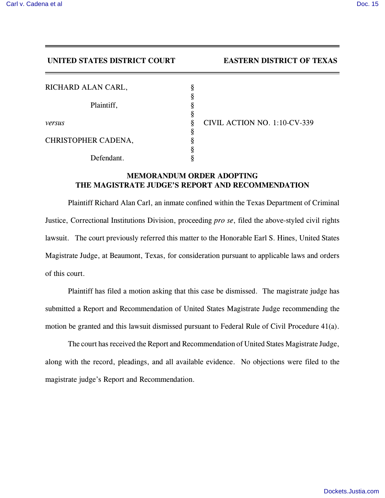## **UNITED STATES DISTRICT COURT EASTERN DISTRICT OF TEXAS**

| RICHARD ALAN CARL,  | § |
|---------------------|---|
|                     | § |
| Plaintiff,          | ş |
|                     | § |
| versus              | ş |
|                     | ş |
| CHRISTOPHER CADENA, | § |
|                     | ş |
| Defendant.          | Ş |

*versus* § CIVIL ACTION NO. 1:10-CV-339

## **MEMORANDUM ORDER ADOPTING THE MAGISTRATE JUDGE'S REPORT AND RECOMMENDATION**

Plaintiff Richard Alan Carl, an inmate confined within the Texas Department of Criminal Justice, Correctional Institutions Division, proceeding *pro se*, filed the above-styled civil rights lawsuit. The court previously referred this matter to the Honorable Earl S. Hines, United States Magistrate Judge, at Beaumont, Texas, for consideration pursuant to applicable laws and orders of this court.

Plaintiff has filed a motion asking that this case be dismissed. The magistrate judge has submitted a Report and Recommendation of United States Magistrate Judge recommending the motion be granted and this lawsuit dismissed pursuant to Federal Rule of Civil Procedure 41(a).

The court has received the Report and Recommendation of United States Magistrate Judge, along with the record, pleadings, and all available evidence. No objections were filed to the magistrate judge's Report and Recommendation.